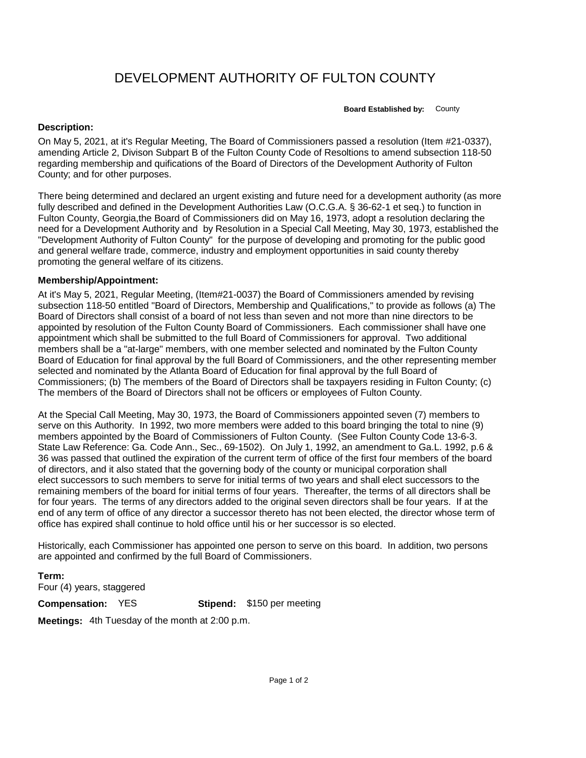## DEVELOPMENT AUTHORITY OF FULTON COUNTY

**Board Established by:** County

## **Description:**

On May 5, 2021, at it's Regular Meeting, The Board of Commissioners passed a resolution (Item #21-0337), amending Article 2, Divison Subpart B of the Fulton County Code of Resoltions to amend subsection 118-50 regarding membership and quifications of the Board of Directors of the Development Authority of Fulton County; and for other purposes.

There being determined and declared an urgent existing and future need for a development authority (as more fully described and defined in the Development Authorities Law (O.C.G.A. § 36-62-1 et seq.) to function in Fulton County, Georgia,the Board of Commissioners did on May 16, 1973, adopt a resolution declaring the need for a Development Authority and by Resolution in a Special Call Meeting, May 30, 1973, established the "Development Authority of Fulton County" for the purpose of developing and promoting for the public good and general welfare trade, commerce, industry and employment opportunities in said county thereby promoting the general welfare of its citizens.

## **Membership/Appointment:**

At it's May 5, 2021, Regular Meeting, (Item#21-0037) the Board of Commissioners amended by revising subsection 118-50 entitled "Board of Directors, Membership and Qualifications," to provide as follows (a) The Board of Directors shall consist of a board of not less than seven and not more than nine directors to be appointed by resolution of the Fulton County Board of Commissioners. Each commissioner shall have one appointment which shall be submitted to the full Board of Commissioners for approval. Two additional members shall be a "at-large" members, with one member selected and nominated by the Fulton County Board of Education for final approval by the full Board of Commissioners, and the other representing member selected and nominated by the Atlanta Board of Education for final approval by the full Board of Commissioners; (b) The members of the Board of Directors shall be taxpayers residing in Fulton County; (c) The members of the Board of Directors shall not be officers or employees of Fulton County.

At the Special Call Meeting, May 30, 1973, the Board of Commissioners appointed seven (7) members to serve on this Authority. In 1992, two more members were added to this board bringing the total to nine (9) members appointed by the Board of Commissioners of Fulton County. (See Fulton County Code 13-6-3. State Law Reference: Ga. Code Ann., Sec., 69-1502). On July 1, 1992, an amendment to Ga.L. 1992, p.6 & 36 was passed that outlined the expiration of the current term of office of the first four members of the board of directors, and it also stated that the governing body of the county or municipal corporation shall elect successors to such members to serve for initial terms of two years and shall elect successors to the remaining members of the board for initial terms of four years. Thereafter, the terms of all directors shall be for four years. The terms of any directors added to the original seven directors shall be four years. If at the end of any term of office of any director a successor thereto has not been elected, the director whose term of office has expired shall continue to hold office until his or her successor is so elected.

Historically, each Commissioner has appointed one person to serve on this board. In addition, two persons are appointed and confirmed by the full Board of Commissioners.

## **Term:**

Four (4) years, staggered

**Compensation:** YES

**Stipend:** \$150 per meeting

**Meetings:** 4th Tuesday of the month at 2:00 p.m.